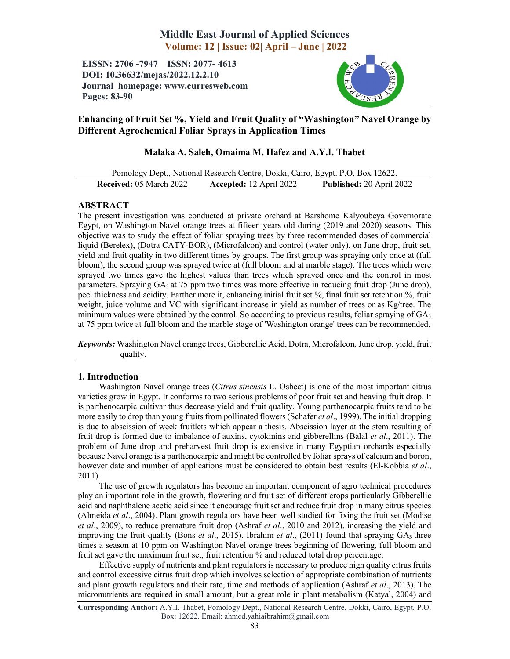# Middle East Journal of Applied Sciences Volume: 12 | Issue: 02| April – June | 2022

EISSN: 2706 -7947 ISSN: 2077- 4613 DOI: 10.36632/mejas/2022.12.2.10 Journal homepage: www.curresweb.com Pages: 83-90



## Enhancing of Fruit Set %, Yield and Fruit Quality of "Washington" Navel Orange by Different Agrochemical Foliar Sprays in Application Times

## Malaka A. Saleh, Omaima M. Hafez and A.Y.I. Thabet

Pomology Dept., National Research Centre, Dokki, Cairo, Egypt. P.O. Box 12622. Received: 05 March 2022 Accepted: 12 April 2022 Published: 20 April 2022

## ABSTRACT

The present investigation was conducted at private orchard at Barshome Kalyoubeya Governorate Egypt, on Washington Navel orange trees at fifteen years old during (2019 and 2020) seasons. This objective was to study the effect of foliar spraying trees by three recommended doses of commercial liquid (Berelex), (Dotra CATY-BOR), (Microfalcon) and control (water only), on June drop, fruit set, yield and fruit quality in two different times by groups. The first group was spraying only once at (full bloom), the second group was sprayed twice at (full bloom and at marble stage). The trees which were sprayed two times gave the highest values than trees which sprayed once and the control in most parameters. Spraying GA<sub>3</sub> at 75 ppm two times was more effective in reducing fruit drop (June drop), peel thickness and acidity. Farther more it, enhancing initial fruit set %, final fruit set retention %, fruit weight, juice volume and VC with significant increase in yield as number of trees or as Kg/tree. The minimum values were obtained by the control. So according to previous results, foliar spraying of  $GA<sub>3</sub>$ at 75 ppm twice at full bloom and the marble stage of 'Washington orange' trees can be recommended.

*Keywords:* Washington Navel orange trees, Gibberellic Acid, Dotra, Microfalcon, June drop, yield, fruit quality.

## 1. Introduction

Washington Navel orange trees (*Citrus sinensis* L. Osbect) is one of the most important citrus varieties grow in Egypt. It conforms to two serious problems of poor fruit set and heaving fruit drop. It is parthenocarpic cultivar thus decrease yield and fruit quality. Young parthenocarpic fruits tend to be more easily to drop than young fruits from pollinated flowers (Schafer *et al*., 1999). The initial dropping is due to abscission of week fruitlets which appear a thesis. Abscission layer at the stem resulting of fruit drop is formed due to imbalance of auxins, cytokinins and gibberellins (Balal *et al*., 2011). The problem of June drop and preharvest fruit drop is extensive in many Egyptian orchards especially because Navel orange is a parthenocarpic and might be controlled by foliar sprays of calcium and boron, however date and number of applications must be considered to obtain best results (El-Kobbia *et al*., 2011).

The use of growth regulators has become an important component of agro technical procedures play an important role in the growth, flowering and fruit set of different crops particularly Gibberellic acid and naphthalene acetic acid since it encourage fruit set and reduce fruit drop in many citrus species (Almeida *et al*., 2004). Plant growth regulators have been well studied for fixing the fruit set (Modise *et al*., 2009), to reduce premature fruit drop (Ashraf *et al*., 2010 and 2012), increasing the yield and improving the fruit quality (Bons *et al*., 2015). Ibrahim *et al*., (2011) found that spraying GA3 three times a season at 10 ppm on Washington Navel orange trees beginning of flowering, full bloom and fruit set gave the maximum fruit set, fruit retention % and reduced total drop percentage.

Effective supply of nutrients and plant regulators is necessary to produce high quality citrus fruits and control excessive citrus fruit drop which involves selection of appropriate combination of nutrients and plant growth regulators and their rate, time and methods of application (Ashraf *et al*., 2013). The micronutrients are required in small amount, but a great role in plant metabolism (Katyal, 2004) and

Corresponding Author: A.Y.I. Thabet, Pomology Dept., National Research Centre, Dokki, Cairo, Egypt. P.O. Box: 12622. Email: ahmed.yahiaibrahim@gmail.com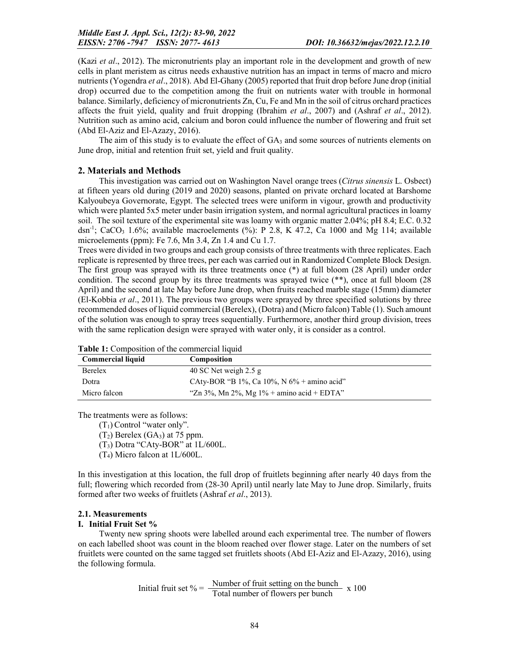(Kazi *et al*., 2012). The micronutrients play an important role in the development and growth of new cells in plant meristem as citrus needs exhaustive nutrition has an impact in terms of macro and micro nutrients (Yogendra *et al*., 2018). Abd El-Ghany (2005) reported that fruit drop before June drop (initial drop) occurred due to the competition among the fruit on nutrients water with trouble in hormonal balance. Similarly, deficiency of micronutrients Zn, Cu, Fe and Mn in the soil of citrus orchard practices affects the fruit yield, quality and fruit dropping (Ibrahim *et al*., 2007) and (Ashraf *et al*., 2012). Nutrition such as amino acid, calcium and boron could influence the number of flowering and fruit set (Abd El-Aziz and El-Azazy, 2016).

The aim of this study is to evaluate the effect of  $GA_3$  and some sources of nutrients elements on June drop, initial and retention fruit set, yield and fruit quality.

### 2. Materials and Methods

This investigation was carried out on Washington Navel orange trees (*Citrus sinensis* L. Osbect) at fifteen years old during (2019 and 2020) seasons, planted on private orchard located at Barshome Kalyoubeya Governorate, Egypt. The selected trees were uniform in vigour, growth and productivity which were planted 5x5 meter under basin irrigation system, and normal agricultural practices in loamy soil. The soil texture of the experimental site was loamy with organic matter 2.04%; pH 8.4; E.C. 0.32 dsn<sup>-1</sup>; CaCO<sub>3</sub> 1.6%; available macroelements (%): P 2.8, K 47.2, Ca 1000 and Mg 114; available microelements (ppm): Fe 7.6, Mn 3.4, Zn 1.4 and Cu 1.7.

Trees were divided in two groups and each group consists of three treatments with three replicates. Each replicate is represented by three trees, per each was carried out in Randomized Complete Block Design. The first group was sprayed with its three treatments once (\*) at full bloom (28 April) under order condition. The second group by its three treatments was sprayed twice (\*\*), once at full bloom (28 April) and the second at late May before June drop, when fruits reached marble stage (15mm) diameter (El-Kobbia *et al*., 2011). The previous two groups were sprayed by three specified solutions by three recommended doses of liquid commercial (Berelex), (Dotra) and (Micro falcon) Table (1). Such amount of the solution was enough to spray trees sequentially. Furthermore, another third group division, trees with the same replication design were sprayed with water only, it is consider as a control.

| <b>Commercial liquid</b> | <b>Composition</b>                            |
|--------------------------|-----------------------------------------------|
| Berelex                  | 40 SC Net weigh $2.5$ g                       |
| Dotra                    | CAty-BOR "B 1%, Ca 10%, N $6\%$ + amino acid" |
| Micro falcon             | "Zn 3%, Mn 2%, Mg $1\%$ + amino acid + EDTA"  |

 $Table 1: Comparison of the commercial liquid$ 

The treatments were as follows:

 $(T_1)$  Control "water only".

 $(T_2)$  Berelex  $(GA_3)$  at 75 ppm.

(T3) Dotra "CAty-BOR" at 1L/600L.

(T4) Micro falcon at 1L/600L.

In this investigation at this location, the full drop of fruitlets beginning after nearly 40 days from the full; flowering which recorded from (28-30 April) until nearly late May to June drop. Similarly, fruits formed after two weeks of fruitlets (Ashraf *et al*., 2013).

#### 2.1. Measurements

#### I. Initial Fruit Set %

Twenty new spring shoots were labelled around each experimental tree. The number of flowers on each labelled shoot was count in the bloom reached over flower stage. Later on the numbers of set fruitlets were counted on the same tagged set fruitlets shoots (Abd EI-Aziz and El-Azazy, 2016), using the following formula.

Initial fruit set 
$$
\% = \frac{\text{Number of fruit setting on the bunch}}{\text{Total number of flowers per bunch}} \times 100
$$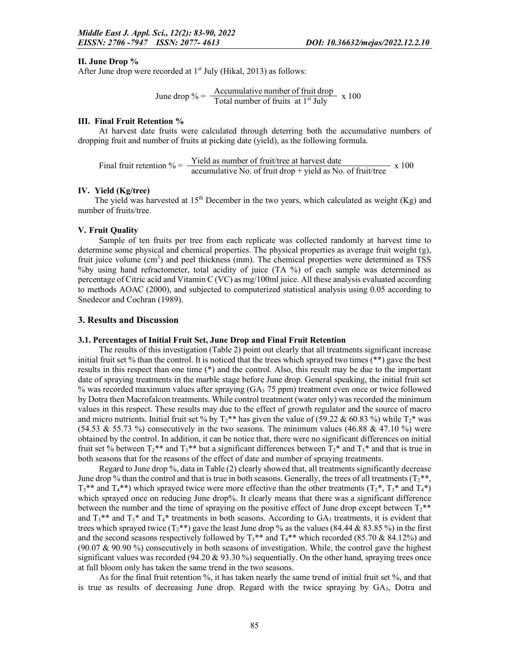#### II. June Drop %

After June drop were recorded at  $1<sup>st</sup>$  July (Hikal, 2013) as follows:

June drop 
$$
\% = \frac{\text{Accumulative number of fruit drop}}{\text{Total number of fruits at 1st July}} \times 100
$$

#### III. Final Fruit Retention %

At harvest date fruits were calculated through deterring both the accumulative numbers of dropping fruit and number of fruits at picking date (yield), as the following formula.

Final fruit retention % =  $\frac{\text{Yield as number of fruit/tree at harvest date}}{\text{accumulative No. of fruit drop + yield as No. of fruit/tree}} \times 100$ 

#### IV. Yield (Kg/tree)

The yield was harvested at 15<sup>th</sup> December in the two years, which calculated as weight (Kg) and number of fruits/tree.

#### V. Fruit Quality

Sample of ten fruits per tree from each replicate was collected randomly at harvest time to determine some physical and chemical properties. The physical properties as average fruit weight (g), fruit juice volume  $(cm<sup>3</sup>)$  and peel thickness (mm). The chemical properties were determined as TSS %by using hand refractometer, total acidity of juice (TA %) of each sample was determined as percentage of Citric acid and Vitamin C (VC) as mg/100ml juice. All these analysis evaluated according to methods AOAC (2000), and subjected to computerized statistical analysis using 0.05 according to Snedecor and Cochran (1989).

#### 3. Results and Discussion

#### 3.1. Percentages of Initial Fruit Set, June Drop and Final Fruit Retention

The results of this investigation (Table 2) point out clearly that all treatments significant increase initial fruit set % than the control. It is noticed that the trees which sprayed two times (\*\*) gave the best results in this respect than one time (\*) and the control. Also, this result may be due to the important date of spraying treatments in the marble stage before June drop. General speaking, the initial fruit set % was recorded maximum values after spraying  $(GA<sub>3</sub> 75 ppm)$  treatment even once or twice followed by Dotra then Macrofalcon treatments. While control treatment (water only) was recorded the minimum values in this respect. These results may due to the effect of growth regulator and the source of macro and micro nutrients. Initial fruit set % by  $T_2$ \*\* has given the value of (59.22 & 60.83 %) while  $T_2$ \* was  $(54.53 \& 55.73 \%)$  consecutively in the two seasons. The minimum values  $(46.88 \& 47.10 \%)$  were obtained by the control. In addition, it can be notice that, there were no significant differences on initial fruit set % between  $T_2$ <sup>\*\*</sup> and  $T_3$ <sup>\*\*</sup> but a significant differences between  $T_2$ <sup>\*</sup> and  $T_3$ <sup>\*</sup> and that is true in both seasons that for the reasons of the effect of date and number of spraying treatments.

Regard to June drop %, data in Table (2) clearly showed that, all treatments significantly decrease June drop % than the control and that is true in both seasons. Generally, the trees of all treatments ( $T_2$ \*\*,  $T_3$ <sup>\*\*</sup> and  $T_4$ <sup>\*\*</sup>) which sprayed twice were more effective than the other treatments ( $T_2$ <sup>\*</sup>,  $T_3$ <sup>\*</sup> and  $T_4$ <sup>\*</sup>) which sprayed once on reducing June drop%. It clearly means that there was a significant difference between the number and the time of spraying on the positive effect of June drop except between  $T_2$ \*\* and  $T_3$ <sup>\*\*</sup> and  $T_3$ <sup>\*</sup> and  $T_4$ <sup>\*</sup> treatments in both seasons. According to GA<sub>3</sub> treatments, it is evident that trees which sprayed twice  $(T_2^{**})$  gave the least June drop % as the values (84.44 & 83.85 %) in the first and the second seasons respectively followed by  $T_3$ <sup>\*\*</sup> and  $T_4$ <sup>\*\*</sup> which recorded (85.70 & 84.12%) and (90.07 & 90.90 %) consecutively in both seasons of investigation. While, the control gave the highest significant values was recorded (94.20  $\&$  93.30 %) sequentially. On the other hand, spraying trees once at full bloom only has taken the same trend in the two seasons.

As for the final fruit retention %, it has taken nearly the same trend of initial fruit set %, and that is true as results of decreasing June drop. Regard with the twice spraying by GA3, Dotra and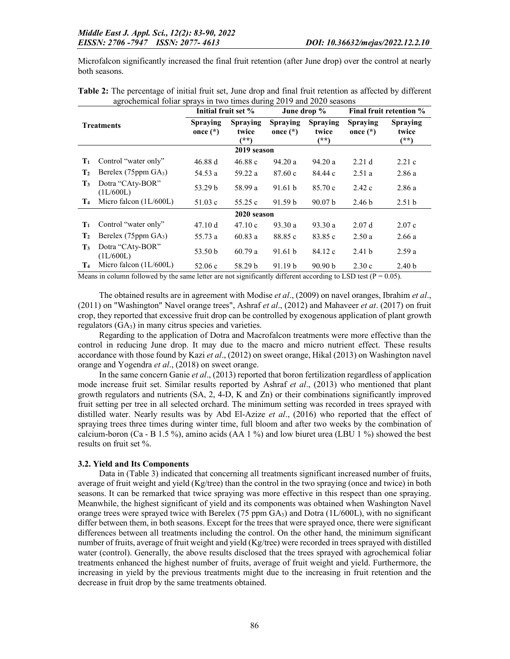Microfalcon significantly increased the final fruit retention (after June drop) over the control at nearly both seasons.

| O.<br><b>Treatments</b> |                                    | Initial fruit set %           |                                    |                                                                   | June drop % |                               | Final fruit retention %            |
|-------------------------|------------------------------------|-------------------------------|------------------------------------|-------------------------------------------------------------------|-------------|-------------------------------|------------------------------------|
|                         |                                    | <b>Spraying</b><br>once $(*)$ | <b>Spraying</b><br>twice<br>$(**)$ | <b>Spraying</b><br><b>Spraying</b><br>once $(*)$<br>twice<br>(**) |             | <b>Spraying</b><br>once $(*)$ | <b>Spraying</b><br>twice<br>$(**)$ |
|                         |                                    |                               | 2019 season                        |                                                                   |             |                               |                                    |
| $\mathbf{T}_1$          | Control "water only"               | 46.88 d                       | 46.88c                             | 94.20a                                                            | 94.20a      | 2.21 <sub>d</sub>             | 2.21c                              |
| $\mathbf{T}_2$          | Berelex (75ppm GA <sub>3</sub> )   | 54.53 a                       | 59.22 a                            | 87.60c                                                            | 84.44 c     | 2.51a                         | 2.86a                              |
| $\mathbf{T}_3$          | Dotra "CAty-BOR"<br>(1L/600L)      | 53.29 b                       | 58.99 a                            | 91.61 b                                                           | 85.70c      | 2.42c                         | 2.86a                              |
| T <sub>4</sub>          | Micro falcon $(1L/600L)$<br>51.03c |                               | 55.25 c                            | 91.59 b                                                           | 90.07 b     | 2.46 <sub>b</sub>             | 2.51 <sub>b</sub>                  |
|                         |                                    |                               | 2020 season                        |                                                                   |             |                               |                                    |
| $\mathbf{T}_1$          | Control "water only"               | 47.10 d                       | 47.10c                             | 93.30a                                                            | 93.30a      | 2.07d                         | 2.07c                              |
| $\mathbf{T}_2$          | Berelex (75ppm GA <sub>3</sub> )   | 55.73 a                       | 60.83a                             | 88.85 c                                                           | 83.85 c     | 2.50a                         | 2.66a                              |
| $\mathbf{T}_3$          | Dotra "CAty-BOR"<br>(1L/600L)      | 53.50 b                       | 60.79a                             | 91.61 b                                                           | 84.12 c     | 2.41 <sub>b</sub>             | 2.59a                              |
| T <sub>4</sub>          | Micro falcon $(1L/600L)$           | 52.06c                        | 58.29 b                            | 91.19 <sub>b</sub>                                                | 90.90 b     | 2.30c                         | 2.40 <sub>b</sub>                  |

| Table 2: The percentage of initial fruit set, June drop and final fruit retention as affected by different |  |  |  |  |
|------------------------------------------------------------------------------------------------------------|--|--|--|--|
| agrochemical foliar sprays in two times during 2019 and 2020 seasons                                       |  |  |  |  |

Means in column followed by the same letter are not significantly different according to LSD test ( $P = 0.05$ ).

The obtained results are in agreement with Modise *et al*., (2009) on navel oranges, Ibrahim *et al*., (2011) on "Washington" Navel orange trees", Ashraf *et al*., (2012) and Mahaveer *et at*. (2017) on fruit crop, they reported that excessive fruit drop can be controlled by exogenous application of plant growth regulators  $(GA<sub>3</sub>)$  in many citrus species and varieties.

Regarding to the application of Dotra and Macrofalcon treatments were more effective than the control in reducing June drop. It may due to the macro and micro nutrient effect. These results accordance with those found by Kazi *et al*., (2012) on sweet orange, Hikal (2013) on Washington navel orange and Yogendra *et al*., (2018) on sweet orange.

In the same concern Ganie *et al*., (2013) reported that boron fertilization regardless of application mode increase fruit set. Similar results reported by Ashraf *et al*., (2013) who mentioned that plant growth regulators and nutrients (SA, 2, 4-D, K and Zn) or their combinations significantly improved fruit setting per tree in all selected orchard. The minimum setting was recorded in trees sprayed with distilled water. Nearly results was by Abd El-Azize *et al*., (2016) who reported that the effect of spraying trees three times during winter time, full bloom and after two weeks by the combination of calcium-boron (Ca - B 1.5 %), amino acids (AA 1 %) and low biuret urea (LBU 1 %) showed the best results on fruit set %.

#### 3.2. Yield and Its Components

Data in (Table 3) indicated that concerning all treatments significant increased number of fruits, average of fruit weight and yield  $(Kg$ /tree) than the control in the two spraying (once and twice) in both seasons. It can be remarked that twice spraying was more effective in this respect than one spraying. Meanwhile, the highest significant of yield and its components was obtained when Washington Navel orange trees were sprayed twice with Berelex (75 ppm  $GA<sub>3</sub>$ ) and Dotra (1L/600L), with no significant differ between them, in both seasons. Except for the trees that were sprayed once, there were significant differences between all treatments including the control. On the other hand, the minimum significant number of fruits, average of fruit weight and yield (Kg/tree) were recorded in trees sprayed with distilled water (control). Generally, the above results disclosed that the trees sprayed with agrochemical foliar treatments enhanced the highest number of fruits, average of fruit weight and yield. Furthermore, the increasing in yield by the previous treatments might due to the increasing in fruit retention and the decrease in fruit drop by the same treatments obtained.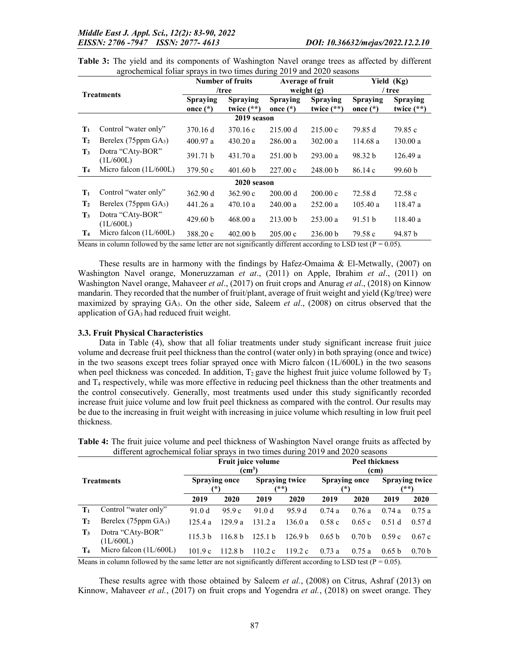| <b>Treatments</b> |                               |                               | <b>Number of fruits</b><br>/tree |                               | Average of fruit<br>weight $(g)$ | Yield (Kg)<br>/ tree |                                 |
|-------------------|-------------------------------|-------------------------------|----------------------------------|-------------------------------|----------------------------------|----------------------|---------------------------------|
|                   |                               | <b>Spraying</b><br>once $(*)$ | <b>Spraying</b><br>twice $(**)$  | <b>Spraying</b><br>once $(*)$ | <b>Spraying</b><br>twice $(**)$  |                      | <b>Spraying</b><br>twice $(**)$ |
|                   |                               |                               | 2019 season                      |                               |                                  |                      |                                 |
| $\mathbf{T}_1$    | Control "water only"          | 370.16 d                      | 370.16 c                         | 215.00 d                      | 215.00c                          | 79.85 d              | 79.85 c                         |
| $\mathbf{T}_2$    | Berelex $(75$ ppm $GA_3)$     | 400.97a                       | 430.20a                          | 286.00a                       | 302.00 a                         | 114.68 a             | 130.00a                         |
| $T_3$             | Dotra "CAty-BOR"<br>(1L/600L) | 391.71 b                      | 431.70a                          | 251.00 <sub>b</sub>           | 293.00 a                         | 98.32 b              | 126.49a                         |
| T <sub>4</sub>    | Micro falcon $(1L/600L)$      | 379.50c                       | 401.60 <sub>b</sub>              | 227.00c                       | 248.00 b                         | 86.14c               | 99.60 b                         |
|                   |                               |                               | 2020 season                      |                               |                                  |                      |                                 |
| $\mathbf{T}_1$    | Control "water only"          | 362.90 d                      | 362.90c                          | 200.00 d                      | 200.00 c                         | 72.58 d              | 72.58c                          |
| $\mathbf{T}_2$    | Berelex $(75$ ppm $GA_3)$     | 441.26 a                      | 470.10a                          | 240.00 a                      | 252.00a                          | 105.40a              | 118.47 a                        |
| $\mathbf{T}_3$    | Dotra "CAty-BOR"<br>(1L/600L) | 429.60 <sub>b</sub>           | 468.00 a                         | 213.00 <sub>b</sub>           | 253.00 a                         | 91.51 <sub>b</sub>   | 118.40a                         |
| T <sub>4</sub>    | Micro falcon $(1L/600L)$      | 388.20 c                      | 402.00 <sub>b</sub>              | $205.00 \text{ c}$            | 236.00 b                         | 79.58 c              | 94.87 b                         |

| Table 3: The yield and its components of Washington Navel orange trees as affected by different |  |  |
|-------------------------------------------------------------------------------------------------|--|--|
| agrochemical foliar sprays in two times during 2019 and 2020 seasons                            |  |  |

Means in column followed by the same letter are not significantly different according to LSD test ( $P = 0.05$ ).

These results are in harmony with the findings by Hafez-Omaima & El-Metwally, (2007) on Washington Navel orange, Moneruzzaman *et at*., (2011) on Apple, Ibrahim *et al*., (2011) on Washington Navel orange, Mahaveer *et al*., (2017) on fruit crops and Anurag *et al*., (2018) on Kinnow mandarin. They recorded that the number of fruit/plant, average of fruit weight and yield (Kg/tree) were maximized by spraying GA3. On the other side, Saleem *et al*., (2008) on citrus observed that the application of GA3 had reduced fruit weight.

#### 3.3. Fruit Physical Characteristics

Data in Table (4), show that all foliar treatments under study significant increase fruit juice volume and decrease fruit peel thickness than the control (water only) in both spraying (once and twice) in the two seasons except trees foliar sprayed once with Micro falcon  $(1L/600L)$  in the two seasons when peel thickness was conceded. In addition,  $T_2$  gave the highest fruit juice volume followed by  $T_3$ and  $T_4$  respectively, while was more effective in reducing peel thickness than the other treatments and the control consecutively. Generally, most treatments used under this study significantly recorded increase fruit juice volume and low fruit peel thickness as compared with the control. Our results may be due to the increasing in fruit weight with increasing in juice volume which resulting in low fruit peel thickness.

|                   | unicicin agrochemical folial sprays in two times during 2017 and 2020 seasons |                                     |                                                                                                                                                                                                                                     |                               |                    |                               |                                                                  |                                 |                   |  |
|-------------------|-------------------------------------------------------------------------------|-------------------------------------|-------------------------------------------------------------------------------------------------------------------------------------------------------------------------------------------------------------------------------------|-------------------------------|--------------------|-------------------------------|------------------------------------------------------------------|---------------------------------|-------------------|--|
| <b>Treatments</b> |                                                                               | Fruit juice volume<br>$\text{(cm)}$ |                                                                                                                                                                                                                                     |                               |                    | <b>Peel thickness</b><br>(cm) |                                                                  |                                 |                   |  |
|                   |                                                                               | <b>Spraying once</b><br>(*)         |                                                                                                                                                                                                                                     | <b>Spraying twice</b><br>(木木) |                    | Spraying once                 |                                                                  | <b>Spraying twice</b><br>$*$ *) |                   |  |
|                   |                                                                               | 2019                                | 2020                                                                                                                                                                                                                                | 2019                          | 2020               | 2019                          | <b>2020</b>                                                      | 2019                            | 2020              |  |
| $\mathbf{T}_1$    | Control "water only"                                                          | 91.0d                               | 95.9c                                                                                                                                                                                                                               | 91.0d                         | 95.9 d             | 0.74a                         | 0.76a                                                            | 0.74a                           | 0.75a             |  |
| $\mathbf{T}_2$    | Berelex (75ppm $GA_3$ )                                                       | 125.4a                              | 129.9a                                                                                                                                                                                                                              | 131.2a                        | 136.0a             | 0.58c                         | 0.65c                                                            | 0.51d                           | 0.57d             |  |
| $\mathbf{T}_3$    | Dotra "CAty-BOR"<br>(1L/600L)                                                 | 115.3 <sub>b</sub>                  | 116.8 <sub>b</sub>                                                                                                                                                                                                                  | 125.1 b                       | 126.9 <sub>b</sub> | 0.65 <sub>b</sub>             | 0.70 <sub>b</sub>                                                | 0.59c                           | 0.67c             |  |
| $T_{4}$           | Micro falcon $(1L/600L)$                                                      | 101.9c                              | 112.8 <sub>b</sub>                                                                                                                                                                                                                  | 110.2c                        | 119.2c             | 0.73a                         | 0.75a                                                            | 0.65 <sub>b</sub>               | 0.70 <sub>b</sub> |  |
|                   | ** * * 0.11 11 1                                                              |                                     | <b>The contract of the contract of the contract of the contract of the contract of the contract of the contract of the contract of the contract of the contract of the contract of the contract of the contract of the contract</b> |                               |                    |                               | $\mathbf{r}$ $\mathbf{r}$ $\mathbf{r}$ $\mathbf{r}$ $\mathbf{r}$ | $\wedge$ $\wedge$               |                   |  |

Table 4: The fruit juice volume and peel thickness of Washington Navel orange fruits as affected by different agrochemical foliar sprays in two times during 2019 and 2020 seasons

Means in column followed by the same letter are not significantly different according to LSD test ( $P = 0.05$ ).

These results agree with those obtained by Saleem *et al.*, (2008) on Citrus, Ashraf (2013) on Kinnow, Mahaveer *et al.*, (2017) on fruit crops and Yogendra *et al.*, (2018) on sweet orange. They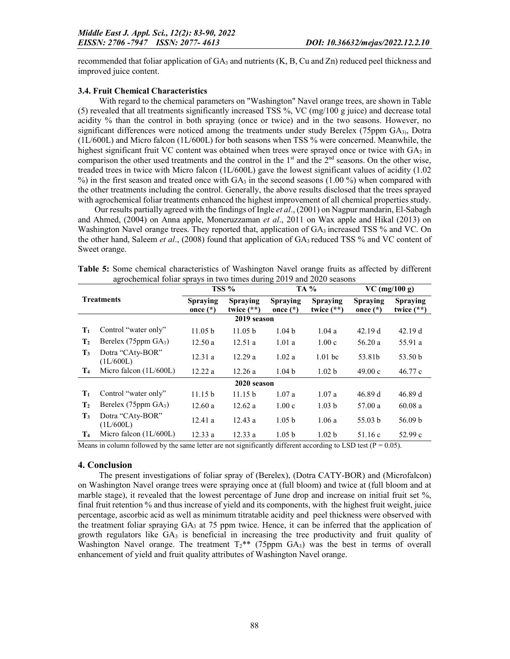recommended that foliar application of  $GA_3$  and nutrients  $(K, B, Cu \text{ and } Zn)$  reduced peel thickness and improved juice content.

### 3.4. Fruit Chemical Characteristics

With regard to the chemical parameters on "Washington" Navel orange trees, are shown in Table (5) revealed that all treatments significantly increased TSS %, VC (mg/100 g juice) and decrease total acidity % than the control in both spraying (once or twice) and in the two seasons. However, no significant differences were noticed among the treatments under study Berelex (75ppm  $GA_{3}$ ), Dotra (1L/600L) and Micro falcon (1L/600L) for both seasons when TSS % were concerned. Meanwhile, the highest significant fruit VC content was obtained when trees were sprayed once or twice with  $GA_3$  in comparison the other used treatments and the control in the  $1<sup>st</sup>$  and the  $2<sup>nd</sup>$  seasons. On the other wise, treaded trees in twice with Micro falcon (1L/600L) gave the lowest significant values of acidity (1.02  $\%$ ) in the first season and treated once with GA<sub>3</sub> in the second seasons (1.00 %) when compared with the other treatments including the control. Generally, the above results disclosed that the trees sprayed with agrochemical foliar treatments enhanced the highest improvement of all chemical properties study.

Our results partially agreed with the findings of Ingle *et al*., (2001) on Nagpur mandarin, El-Sabagh and Ahmed, (2004) on Anna apple, Moneruzzaman *et al*., 2011 on Wax apple and Hikal (2013) on Washington Navel orange trees. They reported that, application of GA<sub>3</sub> increased TSS % and VC. On the other hand, Saleem *et al*., (2008) found that application of GA3 reduced TSS % and VC content of Sweet orange.

Table 5: Some chemical characteristics of Washington Navel orange fruits as affected by different agrochemical foliar sprays in two times during 2019 and 2020 seasons

| <b>Treatments</b> |                                |                               | TSS %                           |                               | <b>TA</b> %                     |                        | $VC$ (mg/100 g)          |  |
|-------------------|--------------------------------|-------------------------------|---------------------------------|-------------------------------|---------------------------------|------------------------|--------------------------|--|
|                   |                                | <b>Spraying</b><br>once $(*)$ | <b>Spraying</b><br>twice $(**)$ | <b>Spraying</b><br>once $(*)$ | <b>Spraying</b><br>twice $(**)$ | Spraying<br>once $(*)$ | Spraying<br>twice $(**)$ |  |
|                   |                                |                               | 2019 season                     |                               |                                 |                        |                          |  |
| $T_1$             | Control "water only"           | 11.05 b                       | 11.05 <sub>b</sub>              | 1.04 <sub>b</sub>             | 1.04a                           | 42.19d                 | 42.19d                   |  |
| $\mathbf{T}_2$    | Berelex (75ppm $GA_3$ )        | 12.50a                        | 12.51a                          | 1.01a                         | 1.00c                           | 56.20a                 | 55.91 a                  |  |
| $\mathbf{T}_3$    | Dotra "CAty-BOR"<br>(1L/600L)  | 12.31a                        | 12.29a                          | 1.02a                         | $1.01$ bc                       | 53.81b                 | 53.50 <sub>b</sub>       |  |
| T <sub>4</sub>    | Micro falcon $(1L/600L)$       | 12.22a                        | 12.26a                          | 1.04 <sub>b</sub>             | 1.02 <sub>b</sub>               | 49.00c                 | 46.77c                   |  |
|                   |                                |                               | 2020 season                     |                               |                                 |                        |                          |  |
| $T_1$             | Control "water only"           | 11.15 <sub>b</sub>            | 11.15 <sub>b</sub>              | 1.07a                         | 1.07a                           | 46.89 d                | 46.89 d                  |  |
| $\mathbf{T}_2$    | Berelex $(75ppm \text{ GA}_3)$ | 12.60a                        | 12.62a                          | 1.00c                         | 1.03 <sub>b</sub>               | 57.00a                 | 60.08a                   |  |
| $\mathbf{T}_3$    | Dotra "CAty-BOR"<br>(1L/600L)  | 12.41a                        | 12.43a                          | 1.05 <sub>b</sub>             | 1.06a                           | 55.03 b                | 56.09 b                  |  |
| T <sub>4</sub>    | Micro falcon $(1L/600L)$       | 12.33a                        | 12.33a                          | 1.05 <sub>b</sub>             | 1.02 <sub>b</sub>               | 51.16 c                | 52.99c                   |  |

Means in column followed by the same letter are not significantly different according to LSD test ( $P = 0.05$ ).

### 4. Conclusion

The present investigations of foliar spray of (Berelex), (Dotra CATY-BOR) and (Microfalcon) on Washington Navel orange trees were spraying once at (full bloom) and twice at (full bloom and at marble stage), it revealed that the lowest percentage of June drop and increase on initial fruit set %, final fruit retention % and thus increase of yield and its components, with the highest fruit weight, juice percentage, ascorbic acid as well as minimum titratable acidity and peel thickness were observed with the treatment foliar spraying  $GA_3$  at 75 ppm twice. Hence, it can be inferred that the application of growth regulators like  $GA_3$  is beneficial in increasing the tree productivity and fruit quality of Washington Navel orange. The treatment  $T_2$ <sup>\*\*</sup> (75ppm GA<sub>3</sub>) was the best in terms of overall enhancement of yield and fruit quality attributes of Washington Navel orange.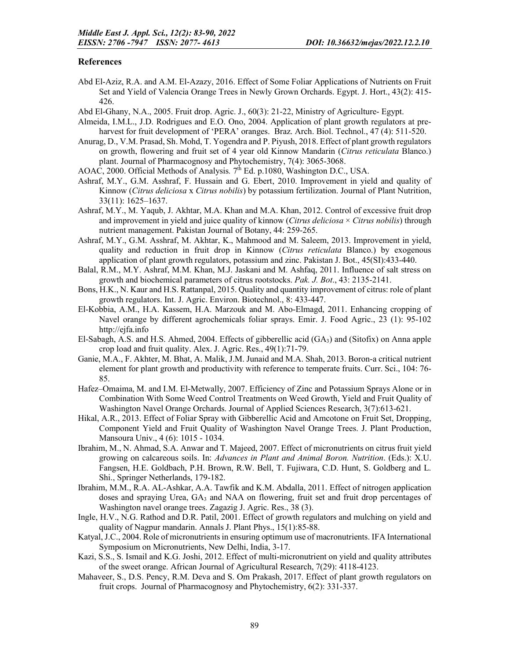### References

- Abd El-Aziz, R.A. and A.M. El-Azazy, 2016. Effect of Some Foliar Applications of Nutrients on Fruit Set and Yield of Valencia Orange Trees in Newly Grown Orchards. Egypt. J. Hort., 43(2): 415- 426.
- Abd El-Ghany, N.A., 2005. Fruit drop. Agric. J., 60(3): 21-22, Ministry of Agriculture- Egypt.
- Almeida, I.M.L., J.D. Rodrigues and E.O. Ono, 2004. Application of plant growth regulators at preharvest for fruit development of 'PERA' oranges. Braz. Arch. Biol. Technol., 47 (4): 511-520.
- Anurag, D., V.M. Prasad, Sh. Mohd, T. Yogendra and P. Piyush, 2018. Effect of plant growth regulators on growth, flowering and fruit set of 4 year old Kinnow Mandarin (*Citrus reticulata* Blanco.) plant. Journal of Pharmacognosy and Phytochemistry, 7(4): 3065-3068.
- AOAC, 2000. Official Methods of Analysis*.* 7th Ed. p.1080, Washington D.C., USA.
- Ashraf, M.Y., G.M. Asshraf, F. Hussain and G. Ebert, 2010. Improvement in yield and quality of Kinnow (*Citrus deliciosa* x *Citrus nobilis*) by potassium fertilization. Journal of Plant Nutrition, 33(11): 1625–1637.
- Ashraf, M.Y., M. Yaqub, J. Akhtar, M.A. Khan and M.A. Khan, 2012. Control of excessive fruit drop and improvement in yield and juice quality of kinnow (*Citrus deliciosa* × *Citrus nobilis*) through nutrient management. Pakistan Journal of Botany, 44: 259-265.
- Ashraf, M.Y., G.M. Asshraf, M. Akhtar, K., Mahmood and M. Saleem, 2013. Improvement in yield, quality and reduction in fruit drop in Kinnow (*Citrus reticulata* Blanco.) by exogenous application of plant growth regulators, potassium and zinc. Pakistan J. Bot., 45(SI):433-440.
- Balal, R.M., M.Y. Ashraf, M.M. Khan, M.J. Jaskani and M. Ashfaq, 2011. Influence of salt stress on growth and biochemical parameters of citrus rootstocks. *Pak. J. Bot*., 43: 2135-2141.
- Bons, H.K., N. Kaur and H.S. Rattanpal, 2015. Quality and quantity improvement of citrus: role of plant growth regulators. Int. J. Agric. Environ. Biotechnol., 8: 433-447.
- El-Kobbia, A.M., H.A. Kassem, H.A. Marzouk and M. Abo-Elmagd, 2011. Enhancing cropping of Navel orange by different agrochemicals foliar sprays. Emir. J. Food Agric., 23 (1): 95-102 http://ejfa.info
- El-Sabagh, A.S. and H.S. Ahmed, 2004. Effects of gibberellic acid  $(GA_3)$  and (Sitofix) on Anna apple crop load and fruit quality. Alex. J. Agric. Res., 49(1):71-79.
- Ganie, M.A., F. Akhter, M. Bhat, A. Malik, J.M. Junaid and M.A. Shah, 2013. Boron-a critical nutrient element for plant growth and productivity with reference to temperate fruits. Curr. Sci., 104: 76- 85.
- Hafez–Omaima, M. and I.M. El-Metwally, 2007. Efficiency of Zinc and Potassium Sprays Alone or in Combination With Some Weed Control Treatments on Weed Growth, Yield and Fruit Quality of Washington Navel Orange Orchards. Journal of Applied Sciences Research, 3(7):613-621.
- Hikal, A.R., 2013. Effect of Foliar Spray with Gibberellic Acid and Amcotone on Fruit Set, Dropping, Component Yield and Fruit Quality of Washington Navel Orange Trees. J. Plant Production, Mansoura Univ., 4 (6): 1015 - 1034.
- Ibrahim, M., N. Ahmad, S.A. Anwar and T. Majeed, 2007. Effect of micronutrients on citrus fruit yield growing on calcareous soils. In: *Advances in Plant and Animal Boron. Nutrition*. (Eds.): X.U. Fangsen, H.E. Goldbach, P.H. Brown, R.W. Bell, T. Fujiwara, C.D. Hunt, S. Goldberg and L. Shi., Springer Netherlands, 179-182.
- Ibrahim, M.M., R.A. AL-Ashkar, A.A. Tawfik and K.M. Abdalla, 2011. Effect of nitrogen application doses and spraying Urea, GA3 and NAA on flowering, fruit set and fruit drop percentages of Washington navel orange trees. Zagazig J. Agric. Res., 38 (3).
- Ingle, H.V., N.G. Rathod and D.R. Patil, 2001. Effect of growth regulators and mulching on yield and quality of Nagpur mandarin. Annals J. Plant Phys., 15(1):85-88.
- Katyal, J.C., 2004. Role of micronutrients in ensuring optimum use of macronutrients. IFA International Symposium on Micronutrients, New Delhi, India, 3-17.
- Kazi, S.S., S. Ismail and K.G. Joshi, 2012. Effect of multi-micronutrient on yield and quality attributes of the sweet orange. African Journal of Agricultural Research, 7(29): 4118-4123.
- Mahaveer, S., D.S. Pency, R.M. Deva and S. Om Prakash, 2017. Effect of plant growth regulators on fruit crops. Journal of Pharmacognosy and Phytochemistry, 6(2): 331-337.